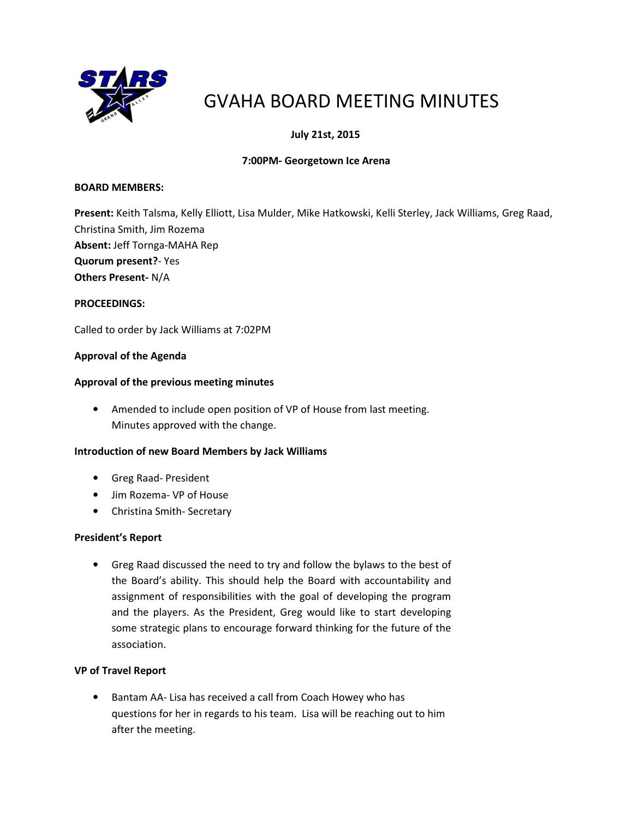

# GVAHA BOARD MEETING MINUTES

# July 21st, 2015

# 7:00PM- Georgetown Ice Arena

# BOARD MEMBERS:

Present: Keith Talsma, Kelly Elliott, Lisa Mulder, Mike Hatkowski, Kelli Sterley, Jack Williams, Greg Raad, Christina Smith, Jim Rozema Absent: Jeff Tornga-MAHA Rep Quorum present?- Yes Others Present- N/A

#### PROCEEDINGS:

Called to order by Jack Williams at 7:02PM

# Approval of the Agenda

#### Approval of the previous meeting minutes

• Amended to include open position of VP of House from last meeting. Minutes approved with the change.

# Introduction of new Board Members by Jack Williams

- Greg Raad- President
- Jim Rozema- VP of House
- Christina Smith- Secretary

#### President's Report

• Greg Raad discussed the need to try and follow the bylaws to the best of the Board's ability. This should help the Board with accountability and assignment of responsibilities with the goal of developing the program and the players. As the President, Greg would like to start developing some strategic plans to encourage forward thinking for the future of the association.

#### VP of Travel Report

• Bantam AA- Lisa has received a call from Coach Howey who has questions for her in regards to his team. Lisa will be reaching out to him after the meeting.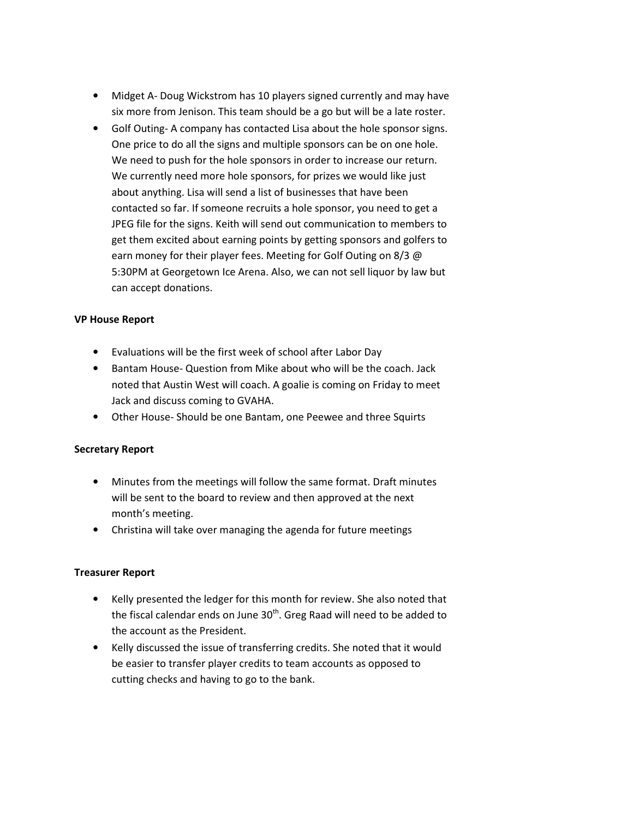- Midget A- Doug Wickstrom has 10 players signed currently and may have six more from Jenison. This team should be a go but will be a late roster.
- Golf Outing- A company has contacted Lisa about the hole sponsor signs. One price to do all the signs and multiple sponsors can be on one hole. We need to push for the hole sponsors in order to increase our return. We currently need more hole sponsors, for prizes we would like just about anything. Lisa will send a list of businesses that have been contacted so far. If someone recruits a hole sponsor, you need to get a JPEG file for the signs. Keith will send out communication to members to get them excited about earning points by getting sponsors and golfers to earn money for their player fees. Meeting for Golf Outing on 8/3 @ 5:30PM at Georgetown Ice Arena. Also, we can not sell liquor by law but can accept donations.

#### VP House Report

- Evaluations will be the first week of school after Labor Day
- Bantam House- Question from Mike about who will be the coach. Jack noted that Austin West will coach. A goalie is coming on Friday to meet Jack and discuss coming to GVAHA.
- Other House- Should be one Bantam, one Peewee and three Squirts

# Secretary Report

- Minutes from the meetings will follow the same format. Draft minutes will be sent to the board to review and then approved at the next month's meeting.
- Christina will take over managing the agenda for future meetings

# Treasurer Report

- Kelly presented the ledger for this month for review. She also noted that the fiscal calendar ends on June  $30<sup>th</sup>$ . Greg Raad will need to be added to the account as the President.
- Kelly discussed the issue of transferring credits. She noted that it would be easier to transfer player credits to team accounts as opposed to cutting checks and having to go to the bank.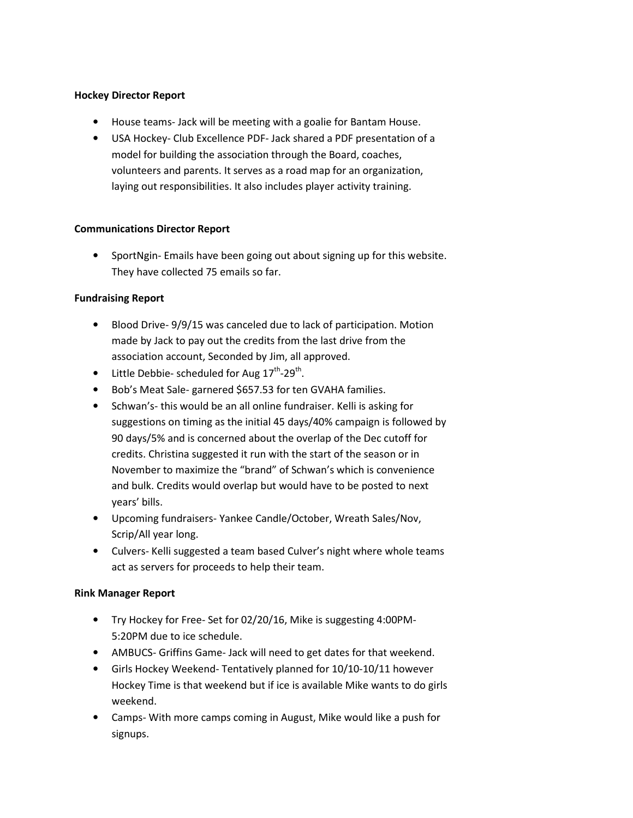# Hockey Director Report

- House teams- Jack will be meeting with a goalie for Bantam House.
- USA Hockey- Club Excellence PDF- Jack shared a PDF presentation of a model for building the association through the Board, coaches, volunteers and parents. It serves as a road map for an organization, laying out responsibilities. It also includes player activity training.

#### Communications Director Report

• SportNgin- Emails have been going out about signing up for this website. They have collected 75 emails so far.

# Fundraising Report

- Blood Drive- 9/9/15 was canceled due to lack of participation. Motion made by Jack to pay out the credits from the last drive from the association account, Seconded by Jim, all approved.
- Little Debbie- scheduled for Aug  $17^{\text{th}}$ -29<sup>th</sup>.
- Bob's Meat Sale- garnered \$657.53 for ten GVAHA families.
- Schwan's- this would be an all online fundraiser. Kelli is asking for suggestions on timing as the initial 45 days/40% campaign is followed by 90 days/5% and is concerned about the overlap of the Dec cutoff for credits. Christina suggested it run with the start of the season or in November to maximize the "brand" of Schwan's which is convenience and bulk. Credits would overlap but would have to be posted to next years' bills.
- Upcoming fundraisers- Yankee Candle/October, Wreath Sales/Nov, Scrip/All year long.
- Culvers- Kelli suggested a team based Culver's night where whole teams act as servers for proceeds to help their team.

# Rink Manager Report

- Try Hockey for Free- Set for 02/20/16, Mike is suggesting 4:00PM-5:20PM due to ice schedule.
- AMBUCS- Griffins Game- Jack will need to get dates for that weekend.
- Girls Hockey Weekend- Tentatively planned for 10/10-10/11 however Hockey Time is that weekend but if ice is available Mike wants to do girls weekend.
- Camps- With more camps coming in August, Mike would like a push for signups.